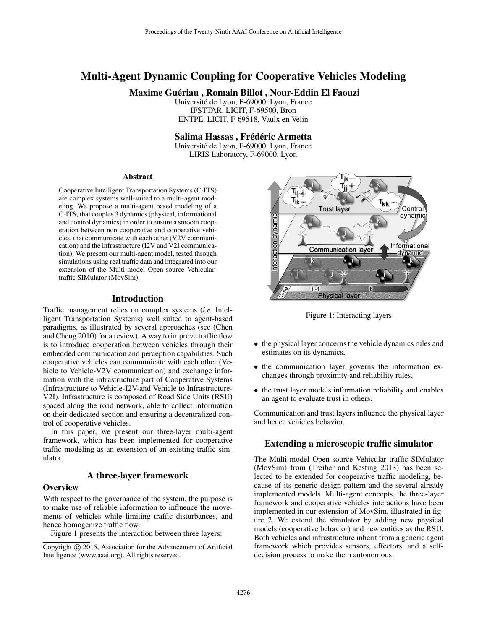# Multi-Agent Dynamic Coupling for Cooperative Vehicles Modeling

# Maxime Guériau, Romain Billot, Nour-Eddin El Faouzi

Universite de Lyon, F-69000, Lyon, France ´ IFSTTAR, LICIT, F-69500, Bron ENTPE, LICIT, F-69518, Vaulx en Velin

#### Salima Hassas, Frédéric Armetta

Universite de Lyon, F-69000, Lyon, France ´ LIRIS Laboratory, F-69000, Lyon

#### Abstract

Cooperative Intelligent Transportation Systems (C-ITS) are complex systems well-suited to a multi-agent modeling. We propose a multi-agent based modeling of a C-ITS, that couples 3 dynamics (physical, informational and control dynamics) in order to ensure a smooth cooperation between non cooperative and cooperative vehicles, that communicate with each other  $(\overline{V2}V)$  communication) and the infrastructure (I2V and V2I communication). We present our multi-agent model, tested through simulations using real traffic data and integrated into our extension of the Multi-model Open-source Vehiculartraffic SIMulator (MovSim).

#### **Introduction**

Traffic management relies on complex systems (*i.e.* Intelligent Transportation Systems) well suited to agent-based paradigms, as illustrated by several approaches (see (Chen and Cheng 2010) for a review). A way to improve traffic flow is to introduce cooperation between vehicles through their embedded communication and perception capabilities. Such cooperative vehicles can communicate with each other (Vehicle to Vehicle-V2V communication) and exchange information with the infrastructure part of Cooperative Systems (Infrastructure to Vehicle-I2V-and Vehicle to Infrastructure-V2I). Infrastructure is composed of Road Side Units (RSU) spaced along the road network, able to collect information on their dedicated section and ensuring a decentralized control of cooperative vehicles.

In this paper, we present our three-layer multi-agent framework, which has been implemented for cooperative traffic modeling as an extension of an existing traffic simulator.

# A three-layer framework

#### **Overview**

With respect to the governance of the system, the purpose is to make use of reliable information to influence the movements of vehicles while limiting traffic disturbances, and hence homogenize traffic flow.

Figure 1 presents the interaction between three layers:



Figure 1: Interacting layers

- the physical layer concerns the vehicle dynamics rules and estimates on its dynamics,
- the communication layer governs the information exchanges through proximity and reliability rules,
- the trust layer models information reliability and enables an agent to evaluate trust in others.

Communication and trust layers influence the physical layer and hence vehicles behavior.

#### Extending a microscopic traffic simulator

The Multi-model Open-source Vehicular traffic SIMulator (MovSim) from (Treiber and Kesting 2013) has been selected to be extended for cooperative traffic modeling, because of its generic design pattern and the several already implemented models. Multi-agent concepts, the three-layer framework and cooperative vehicles interactions have been implemented in our extension of MovSim, illustrated in figure 2. We extend the simulator by adding new physical models (cooperative behavior) and new entities as the RSU. Both vehicles and infrastructure inherit from a generic agent framework which provides sensors, effectors, and a selfdecision process to make them autonomous.

Copyright  $\odot$  2015, Association for the Advancement of Artificial Intelligence (www.aaai.org). All rights reserved.